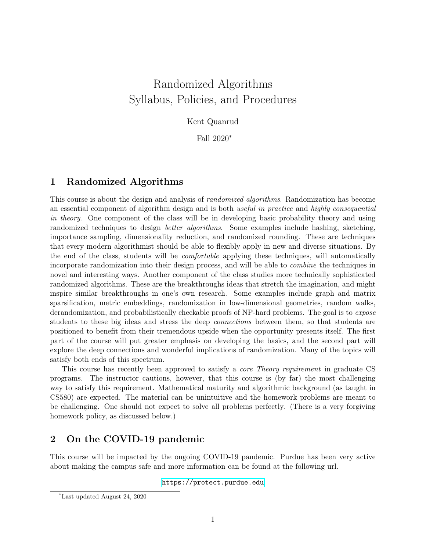# Randomized Algorithms Syllabus, Policies, and Procedures

#### Kent Quanrud

Fall 2020<sup>∗</sup>

### 1 Randomized Algorithms

This course is about the design and analysis of randomized algorithms. Randomization has become an essential component of algorithm design and is both useful in practice and highly consequential in theory. One component of the class will be in developing basic probability theory and using randomized techniques to design better algorithms. Some examples include hashing, sketching, importance sampling, dimensionality reduction, and randomized rounding. These are techniques that every modern algorithmist should be able to flexibly apply in new and diverse situations. By the end of the class, students will be comfortable applying these techniques, will automatically incorporate randomization into their design process, and will be able to combine the techniques in novel and interesting ways. Another component of the class studies more technically sophisticated randomized algorithms. These are the breakthroughs ideas that stretch the imagination, and might inspire similar breakthroughs in one's own research. Some examples include graph and matrix sparsification, metric embeddings, randomization in low-dimensional geometries, random walks, derandomization, and probabilistically checkable proofs of NP-hard problems. The goal is to *expose* students to these big ideas and stress the deep connections between them, so that students are positioned to benefit from their tremendous upside when the opportunity presents itself. The first part of the course will put greater emphasis on developing the basics, and the second part will explore the deep connections and wonderful implications of randomization. Many of the topics will satisfy both ends of this spectrum.

This course has recently been approved to satisfy a core Theory requirement in graduate CS programs. The instructor cautions, however, that this course is (by far) the most challenging way to satisfy this requirement. Mathematical maturity and algorithmic background (as taught in CS580) are expected. The material can be unintuitive and the homework problems are meant to be challenging. One should not expect to solve all problems perfectly. (There is a very forgiving homework policy, as discussed below.)

#### 2 On the COVID-19 pandemic

This course will be impacted by the ongoing COVID-19 pandemic. Purdue has been very active about making the campus safe and more information can be found at the following url.

<https://protect.purdue.edu>

<sup>∗</sup>Last updated August 24, 2020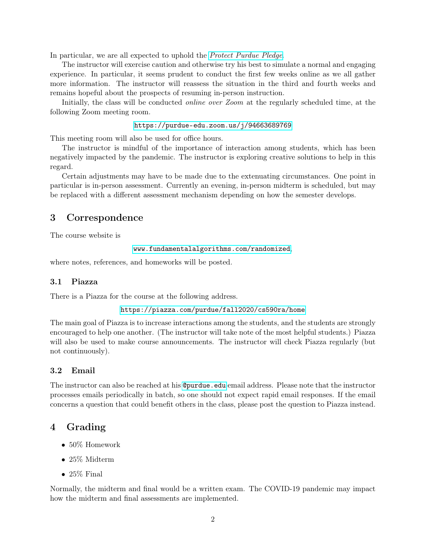In particular, we are all expected to uphold the *[Protect Purdue Pledge](https://protect.purdue.edu/pledge/)*.

The instructor will exercise caution and otherwise try his best to simulate a normal and engaging experience. In particular, it seems prudent to conduct the first few weeks online as we all gather more information. The instructor will reassess the situation in the third and fourth weeks and remains hopeful about the prospects of resuming in-person instruction.

Initially, the class will be conducted online over Zoom at the regularly scheduled time, at the following Zoom meeting room.

#### <https://purdue-edu.zoom.us/j/94663689769>

This meeting room will also be used for office hours.

The instructor is mindful of the importance of interaction among students, which has been negatively impacted by the pandemic. The instructor is exploring creative solutions to help in this regard.

Certain adjustments may have to be made due to the extenuating circumstances. One point in particular is in-person assessment. Currently an evening, in-person midterm is scheduled, but may be replaced with a different assessment mechanism depending on how the semester develops.

#### 3 Correspondence

The course website is

<www.fundamentalalgorithms.com/randomized>,

where notes, references, and homeworks will be posted.

#### 3.1 Piazza

There is a Piazza for the course at the following address.

<https://piazza.com/purdue/fall2020/cs590ra/home>

The main goal of Piazza is to increase interactions among the students, and the students are strongly encouraged to help one another. (The instructor will take note of the most helpful students.) Piazza will also be used to make course announcements. The instructor will check Piazza regularly (but not continuously).

#### 3.2 Email

The instructor can also be reached at his **<@purdue.edu>** email address. Please note that the instructor processes emails periodically in batch, so one should not expect rapid email responses. If the email concerns a question that could benefit others in the class, please post the question to Piazza instead.

#### 4 Grading

- 50% Homework
- 25% Midterm
- $\bullet$  25% Final

Normally, the midterm and final would be a written exam. The COVID-19 pandemic may impact how the midterm and final assessments are implemented.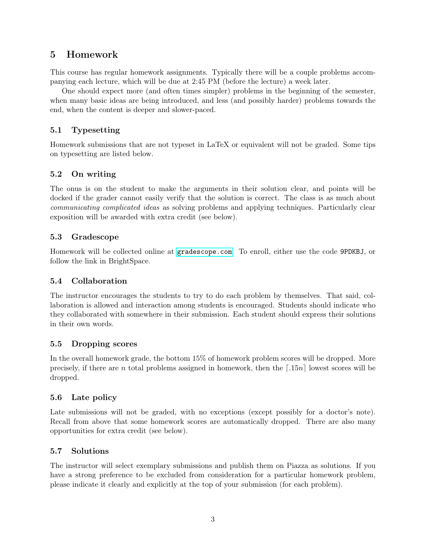### 5 Homework

This course has regular homework assignments. Typically there will be a couple problems accompanying each lecture, which will be due at 2:45 PM (before the lecture) a week later.

One should expect more (and often times simpler) problems in the beginning of the semester, when many basic ideas are being introduced, and less (and possibly harder) problems towards the end, when the content is deeper and slower-paced.

### 5.1 Typesetting

Homework submissions that are not typeset in LaTeX or equivalent will not be graded. Some tips on typesetting are listed below.

#### 5.2 On writing

The onus is on the student to make the arguments in their solution clear, and points will be docked if the grader cannot easily verify that the solution is correct. The class is as much about communicating complicated ideas as solving problems and applying techniques. Particularly clear exposition will be awarded with extra credit (see below).

#### 5.3 Gradescope

Homework will be collected online at <gradescope.com>. To enroll, either use the code 9PDKBJ, or follow the link in BrightSpace.

#### 5.4 Collaboration

The instructor encourages the students to try to do each problem by themselves. That said, collaboration is allowed and interaction among students is encouraged. Students should indicate who they collaborated with somewhere in their submission. Each student should express their solutions in their own words.

#### 5.5 Dropping scores

In the overall homework grade, the bottom 15% of homework problem scores will be dropped. More precisely, if there are n total problems assigned in homework, then the  $\lceil .15n \rceil$  lowest scores will be dropped.

#### 5.6 Late policy

Late submissions will not be graded, with no exceptions (except possibly for a doctor's note). Recall from above that some homework scores are automatically dropped. There are also many opportunities for extra credit (see below).

#### 5.7 Solutions

The instructor will select exemplary submissions and publish them on Piazza as solutions. If you have a strong preference to be excluded from consideration for a particular homework problem, please indicate it clearly and explicitly at the top of your submission (for each problem).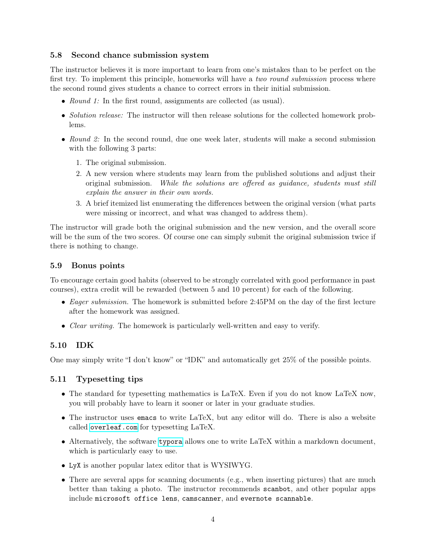#### 5.8 Second chance submission system

The instructor believes it is more important to learn from one's mistakes than to be perfect on the first try. To implement this principle, homeworks will have a *two round submission* process where the second round gives students a chance to correct errors in their initial submission.

- Round 1: In the first round, assignments are collected (as usual).
- Solution release: The instructor will then release solutions for the collected homework problems.
- Round 2: In the second round, due one week later, students will make a second submission with the following 3 parts:
	- 1. The original submission.
	- 2. A new version where students may learn from the published solutions and adjust their original submission. While the solutions are offered as guidance, students must still explain the answer in their own words.
	- 3. A brief itemized list enumerating the differences between the original version (what parts were missing or incorrect, and what was changed to address them).

The instructor will grade both the original submission and the new version, and the overall score will be the sum of the two scores. Of course one can simply submit the original submission twice if there is nothing to change.

#### 5.9 Bonus points

To encourage certain good habits (observed to be strongly correlated with good performance in past courses), extra credit will be rewarded (between 5 and 10 percent) for each of the following.

- Eager submission. The homework is submitted before 2:45PM on the day of the first lecture after the homework was assigned.
- *Clear writing*. The homework is particularly well-written and easy to verify.

#### 5.10 IDK

One may simply write "I don't know" or "IDK" and automatically get 25% of the possible points.

#### 5.11 Typesetting tips

- The standard for typesetting mathematics is LaTeX. Even if you do not know LaTeX now, you will probably have to learn it sooner or later in your graduate studies.
- The instructor uses emacs to write LaTeX, but any editor will do. There is also a website called <overleaf.com> for typesetting LaTeX.
- Alternatively, the software [typora](https://typora.io) allows one to write LaTeX within a markdown document, which is particularly easy to use.
- LyX is another popular latex editor that is WYSIWYG.
- There are several apps for scanning documents (e.g., when inserting pictures) that are much better than taking a photo. The instructor recommends scanbot, and other popular apps include microsoft office lens, camscanner, and evernote scannable.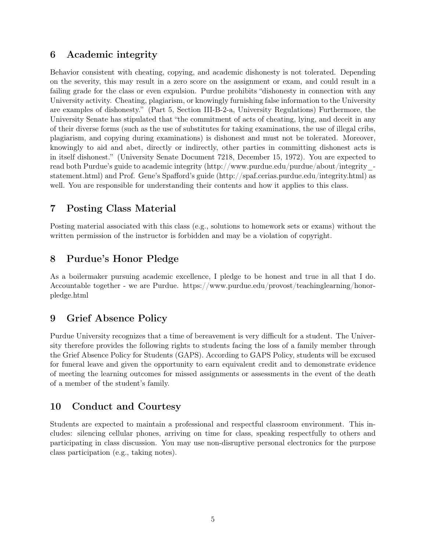### 6 Academic integrity

Behavior consistent with cheating, copying, and academic dishonesty is not tolerated. Depending on the severity, this may result in a zero score on the assignment or exam, and could result in a failing grade for the class or even expulsion. Purdue prohibits "dishonesty in connection with any University activity. Cheating, plagiarism, or knowingly furnishing false information to the University are examples of dishonesty." (Part 5, Section III-B-2-a, University Regulations) Furthermore, the University Senate has stipulated that "the commitment of acts of cheating, lying, and deceit in any of their diverse forms (such as the use of substitutes for taking examinations, the use of illegal cribs, plagiarism, and copying during examinations) is dishonest and must not be tolerated. Moreover, knowingly to aid and abet, directly or indirectly, other parties in committing dishonest acts is in itself dishonest." (University Senate Document 7218, December 15, 1972). You are expected to read both Purdue's guide to academic integrity (http://www.purdue.edu/purdue/about/integritystatement.html) and Prof. Gene's Spafford's guide (http://spaf.cerias.purdue.edu/integrity.html) as well. You are responsible for understanding their contents and how it applies to this class.

### 7 Posting Class Material

Posting material associated with this class (e.g., solutions to homework sets or exams) without the written permission of the instructor is forbidden and may be a violation of copyright.

### 8 Purdue's Honor Pledge

As a boilermaker pursuing academic excellence, I pledge to be honest and true in all that I do. Accountable together - we are Purdue. https://www.purdue.edu/provost/teachinglearning/honorpledge.html

### 9 Grief Absence Policy

Purdue University recognizes that a time of bereavement is very difficult for a student. The University therefore provides the following rights to students facing the loss of a family member through the Grief Absence Policy for Students (GAPS). According to GAPS Policy, students will be excused for funeral leave and given the opportunity to earn equivalent credit and to demonstrate evidence of meeting the learning outcomes for missed assignments or assessments in the event of the death of a member of the student's family.

### 10 Conduct and Courtesy

Students are expected to maintain a professional and respectful classroom environment. This includes: silencing cellular phones, arriving on time for class, speaking respectfully to others and participating in class discussion. You may use non-disruptive personal electronics for the purpose class participation (e.g., taking notes).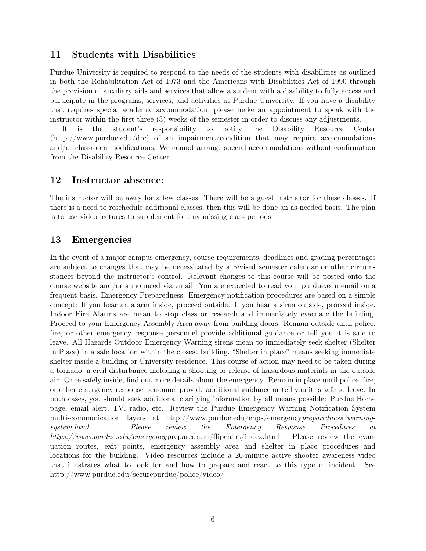### 11 Students with Disabilities

Purdue University is required to respond to the needs of the students with disabilities as outlined in both the Rehabilitation Act of 1973 and the Americans with Disabilities Act of 1990 through the provision of auxiliary aids and services that allow a student with a disability to fully access and participate in the programs, services, and activities at Purdue University. If you have a disability that requires special academic accommodation, please make an appointment to speak with the instructor within the first three (3) weeks of the semester in order to discuss any adjustments.

It is the student's responsibility to notify the Disability Resource Center (http://www.purdue.edu/drc) of an impairment/condition that may require accommodations and/or classroom modifications. We cannot arrange special accommodations without confirmation from the Disability Resource Center.

#### 12 Instructor absence:

The instructor will be away for a few classes. There will be a guest instructor for these classes. If there is a need to reschedule additional classes, then this will be done an as-needed basis. The plan is to use video lectures to supplement for any missing class periods.

### 13 Emergencies

In the event of a major campus emergency, course requirements, deadlines and grading percentages are subject to changes that may be necessitated by a revised semester calendar or other circumstances beyond the instructor's control. Relevant changes to this course will be posted onto the course website and/or announced via email. You are expected to read your purdue.edu email on a frequent basis. Emergency Preparedness: Emergency notification procedures are based on a simple concept: If you hear an alarm inside, proceed outside. If you hear a siren outside, proceed inside. Indoor Fire Alarms are mean to stop class or research and immediately evacuate the building. Proceed to your Emergency Assembly Area away from building doors. Remain outside until police, fire, or other emergency response personnel provide additional guidance or tell you it is safe to leave. All Hazards Outdoor Emergency Warning sirens mean to immediately seek shelter (Shelter in Place) in a safe location within the closest building. "Shelter in place" means seeking immediate shelter inside a building or University residence. This course of action may need to be taken during a tornado, a civil disturbance including a shooting or release of hazardous materials in the outside air. Once safely inside, find out more details about the emergency. Remain in place until police, fire, or other emergency response personnel provide additional guidance or tell you it is safe to leave. In both cases, you should seek additional clarifying information by all means possible: Purdue Home page, email alert, TV, radio, etc. Review the Purdue Emergency Warning Notification System multi-communication layers at http://www.purdue.edu/ehps/emergencypreparedness/warningsystem.html. Please review the Emergency Response Procedures at https://www.purdue.edu/emergencypreparedness/flipchart/index.html. Please review the evacuation routes, exit points, emergency assembly area and shelter in place procedures and locations for the building. Video resources include a 20-minute active shooter awareness video that illustrates what to look for and how to prepare and react to this type of incident. See http://www.purdue.edu/securepurdue/police/video/